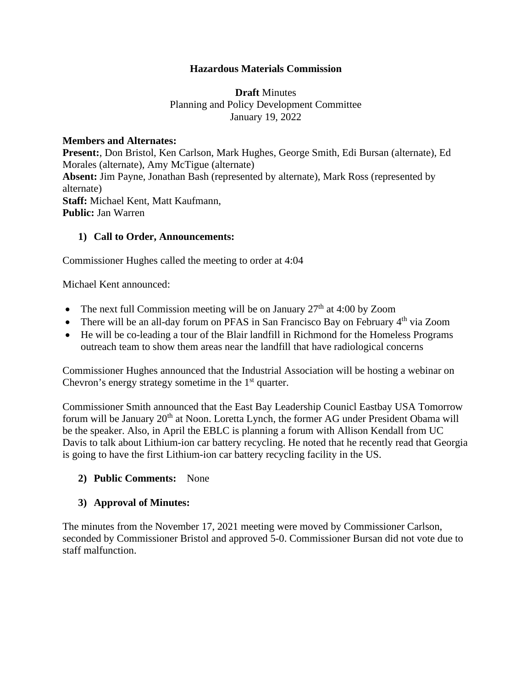## **Hazardous Materials Commission**

## **Draft** Minutes Planning and Policy Development Committee January 19, 2022

### **Members and Alternates:**

**Present:**, Don Bristol, Ken Carlson, Mark Hughes, George Smith, Edi Bursan (alternate), Ed Morales (alternate), Amy McTigue (alternate) **Absent:** Jim Payne, Jonathan Bash (represented by alternate), Mark Ross (represented by alternate) **Staff:** Michael Kent, Matt Kaufmann, **Public:** Jan Warren

## **1) Call to Order, Announcements:**

Commissioner Hughes called the meeting to order at 4:04

Michael Kent announced:

- The next full Commission meeting will be on January  $27<sup>th</sup>$  at 4:00 by Zoom
- There will be an all-day forum on PFAS in San Francisco Bay on February  $4<sup>th</sup>$  via Zoom
- He will be co-leading a tour of the Blair landfill in Richmond for the Homeless Programs outreach team to show them areas near the landfill that have radiological concerns

Commissioner Hughes announced that the Industrial Association will be hosting a webinar on Chevron's energy strategy sometime in the  $1<sup>st</sup>$  quarter.

Commissioner Smith announced that the East Bay Leadership Counicl Eastbay USA Tomorrow forum will be January 20<sup>th</sup> at Noon. Loretta Lynch, the former AG under President Obama will be the speaker. Also, in April the EBLC is planning a forum with Allison Kendall from UC Davis to talk about Lithium-ion car battery recycling. He noted that he recently read that Georgia is going to have the first Lithium-ion car battery recycling facility in the US.

### **2) Public Comments:** None

### **3) Approval of Minutes:**

The minutes from the November 17, 2021 meeting were moved by Commissioner Carlson, seconded by Commissioner Bristol and approved 5-0. Commissioner Bursan did not vote due to staff malfunction.